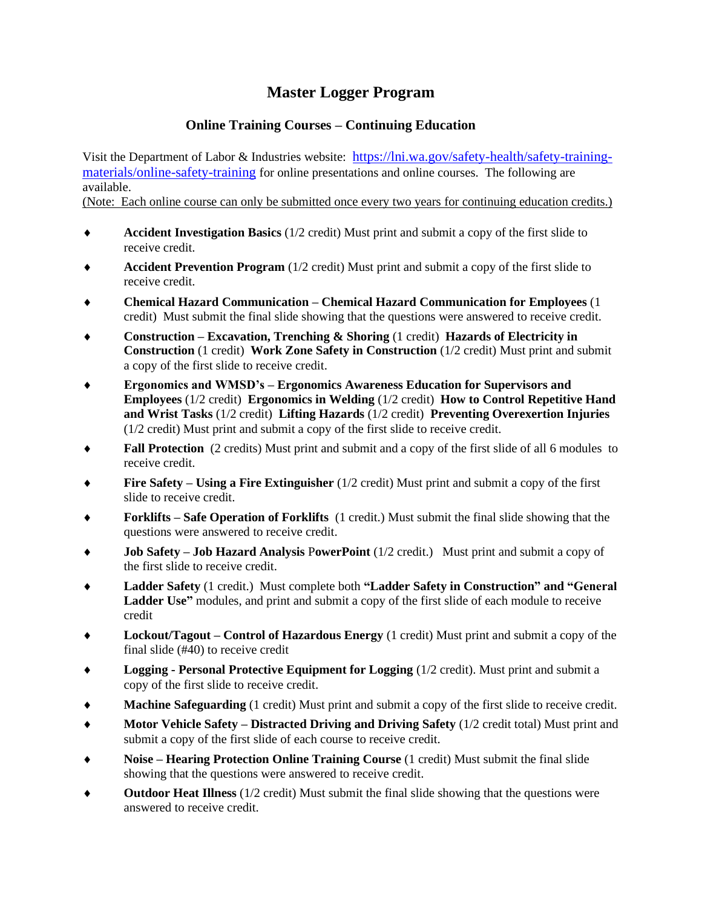## **Master Logger Program**

## **Online Training Courses – Continuing Education**

Visit the Department of Labor & Industries website: [https://lni.wa.gov/safety-health/safety-training](https://lni.wa.gov/safety-health/safety-training-materials/online-safety-training)[materials/online-safety-training](https://lni.wa.gov/safety-health/safety-training-materials/online-safety-training) for online presentations and online courses. The following are available.

(Note: Each online course can only be submitted once every two years for continuing education credits.)

- **Accident Investigation Basics** (1/2 credit) Must print and submit a copy of the first slide to receive credit.
- **Accident Prevention Program** (1/2 credit) Must print and submit a copy of the first slide to receive credit.
- **Chemical Hazard Communication – Chemical Hazard Communication for Employees** (1 credit) Must submit the final slide showing that the questions were answered to receive credit.
- **Construction – Excavation, Trenching & Shoring** (1 credit) **Hazards of Electricity in Construction** (1 credit) **Work Zone Safety in Construction** (1/2 credit) Must print and submit a copy of the first slide to receive credit.
- **Ergonomics and WMSD's – Ergonomics Awareness Education for Supervisors and Employees** (1/2 credit) **Ergonomics in Welding** (1/2 credit) **How to Control Repetitive Hand and Wrist Tasks** (1/2 credit) **Lifting Hazards** (1/2 credit) **Preventing Overexertion Injuries** (1/2 credit) Must print and submit a copy of the first slide to receive credit.
- **Fall Protection** (2 credits) Must print and submit and a copy of the first slide of all 6 modules to receive credit.
- **Fire Safety – Using a Fire Extinguisher** (1/2 credit) Must print and submit a copy of the first slide to receive credit.
- **Forklifts – Safe Operation of Forklifts** (1 credit.) Must submit the final slide showing that the questions were answered to receive credit.
- **Job Safety – Job Hazard Analysis** P**owerPoint** (1/2 credit.) Must print and submit a copy of the first slide to receive credit.
- **Ladder Safety** (1 credit.) Must complete both **"Ladder Safety in Construction" and "General Ladder Use"** modules, and print and submit a copy of the first slide of each module to receive credit
- **Lockout/Tagout – Control of Hazardous Energy** (1 credit) Must print and submit a copy of the final slide (#40) to receive credit
- **Logging - Personal Protective Equipment for Logging** (1/2 credit). Must print and submit a copy of the first slide to receive credit.
- **Machine Safeguarding** (1 credit) Must print and submit a copy of the first slide to receive credit.
- **Motor Vehicle Safety – Distracted Driving and Driving Safety** (1/2 credit total) Must print and submit a copy of the first slide of each course to receive credit.
- **Noise – Hearing Protection Online Training Course** (1 credit) Must submit the final slide showing that the questions were answered to receive credit.
- **Outdoor Heat Illness** (1/2 credit) Must submit the final slide showing that the questions were answered to receive credit.